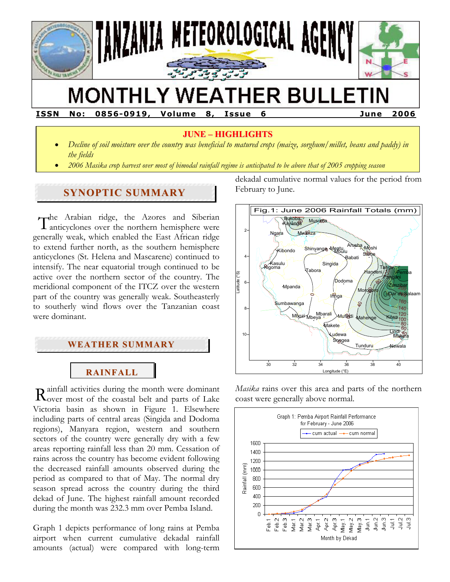

# **MONTHLY WEATHER BULLETIN**

**ISSN No: 0856-0919, Volume 8, Issue 6 June 2006** 

## **JUNE – HIGHLIGHTS**

- *Decline of soil moisture over the country was beneficial to matured crops (maize, sorghum/millet, beans and paddy) in the fields*
- *2006 Masika crop harvest over most of bimodal rainfall regime is anticipated to be above that of 2005 cropping season*

## **SYNOPTIC SUMMARY**

The Arabian ridge, the Azores and Siberian The Arabian ridge, the Azores and Siberian<br>
Tanticyclones over the northern hemisphere were generally weak, which enabled the East African ridge to extend further north, as the southern hemisphere anticyclones (St. Helena and Mascarene) continued to intensify. The near equatorial trough continued to be active over the northern sector of the country. The meridional component of the ITCZ over the western part of the country was generally weak. Southeasterly to southerly wind flows over the Tanzanian coast were dominant.

## **WEATHER SUMMARY**

# **RAINFALL**

ainfall activities during the month were dominant  $\mathbf R$  ainfall activities during the month were dominant  $\mathbf R$  over most of the coastal belt and parts of Lake Victoria basin as shown in Figure 1. Elsewhere including parts of central areas (Singida and Dodoma regions), Manyara region, western and southern sectors of the country were generally dry with a few areas reporting rainfall less than 20 mm. Cessation of rains across the country has become evident following the decreased rainfall amounts observed during the period as compared to that of May. The normal dry season spread across the country during the third dekad of June. The highest rainfall amount recorded during the month was 232.3 mm over Pemba Island.

Graph 1 depicts performance of long rains at Pemba airport when current cumulative dekadal rainfall amounts (actual) were compared with long-term

dekadal cumulative normal values for the period from February to June.



*Masika* rains over this area and parts of the northern coast were generally above normal.

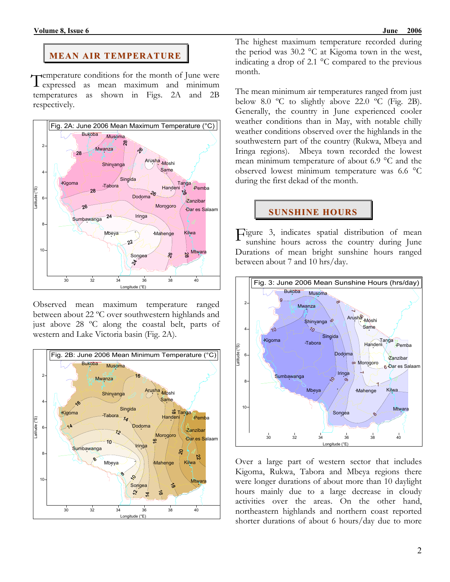#### **MEAN AIR TEMPERATURE**

Temperature conditions for the month of June were<br>Texpressed as mean maximum and minimum **L** expressed as mean maximum and minimum temperatures as shown in Figs. 2A and 2B respectively.



Observed mean maximum temperature ranged between about 22 ºC over southwestern highlands and just above 28 ºC along the coastal belt, parts of western and Lake Victoria basin (Fig. 2A).



The highest maximum temperature recorded during the period was 30.2 °C at Kigoma town in the west, indicating a drop of 2.1 °C compared to the previous month.

The mean minimum air temperatures ranged from just below 8.0  $\degree$ C to slightly above 22.0  $\degree$ C (Fig. 2B). Generally, the country in June experienced cooler weather conditions than in May, with notable chilly weather conditions observed over the highlands in the southwestern part of the country (Rukwa, Mbeya and Iringa regions). Mbeya town recorded the lowest mean minimum temperature of about 6.9 °C and the observed lowest minimum temperature was 6.6 °C during the first dekad of the month.

# **SUNSHINE HOURS**

Figure 3, indicates spatial distribution of mean<br>sunshine hours across the country during June sunshine hours across the country during June Durations of mean bright sunshine hours ranged between about 7 and 10 hrs/day.



Over a large part of western sector that includes Kigoma, Rukwa, Tabora and Mbeya regions there were longer durations of about more than 10 daylight hours mainly due to a large decrease in cloudy activities over the areas. On the other hand, northeastern highlands and northern coast reported shorter durations of about 6 hours/day due to more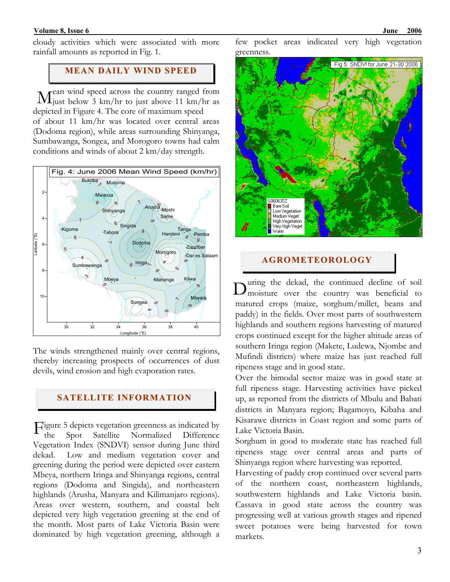#### **Volume 8, Issue 6** June 2006

### **MEAN DAILY WIND SPEED**

rean wind speed across the country ranged from  $\rm M$  can wind speed across the country ranged from  $\rm M$  just above 11 km/hr as depicted in Figure 4. The core of maximum speed of about 11 km/hr was located over central areas (Dodoma region), while areas surrounding Shinyanga, Sumbawanga, Songea, and Morogoro towns had calm conditions and winds of about 2 km/day strength.



The winds strengthened mainly over central regions, thereby increasing prospects of occurrences of dust devils, wind erosion and high evaporation rates.

#### **SATELLITE INFORMATION**

Figure 5 depicts vegetation greenness as indicated by<br>the Spot Satellite Normalized Difference the Spot Satellite Normalized Difference Vegetation Index (SNDVI) sensor during June third dekad. Low and medium vegetation cover and greening during the period were depicted over eastern Mbeya, northern Iringa and Shinyanga regions, central regions (Dodoma and Singida), and northeastern highlands (Arusha, Manyara and Kilimanjaro regions). Areas over western, southern, and coastal belt depicted very high vegetation greening at the end of the month. Most parts of Lake Victoria Basin were dominated by high vegetation greening, although a

few pocket areas indicated very high vegetation greenness.



## **AGROMETEOROLOGY**

uring the dekad, the continued decline of soil  $\mathbf{D}^{\text{uring}}$  the dekad, the continued decline of soil moisture over the country was beneficial to matured crops (maize, sorghum/millet, beans and paddy) in the fields. Over most parts of southwestern highlands and southern regions harvesting of matured crops continued except for the higher altitude areas of southern Iringa region (Makete, Ludewa, Njombe and Mufindi districts) where maize has just reached full ripeness stage and in good state.

Over the bimodal sector maize was in good state at full ripeness stage. Harvesting activities have picked up, as reported from the districts of Mbulu and Babati districts in Manyara region; Bagamoyo, Kibaha and Kisarawe districts in Coast region and some parts of Lake Victoria Basin.

Sorghum in good to moderate state has reached full ripeness stage over central areas and parts of Shinyanga region where harvesting was reported.

Harvesting of paddy crop continued over several parts of the northern coast, northeastern highlands, southwestern highlands and Lake Victoria basin. Cassava in good state across the country was progressing well at various growth stages and ripened sweet potatoes were being harvested for town markets.